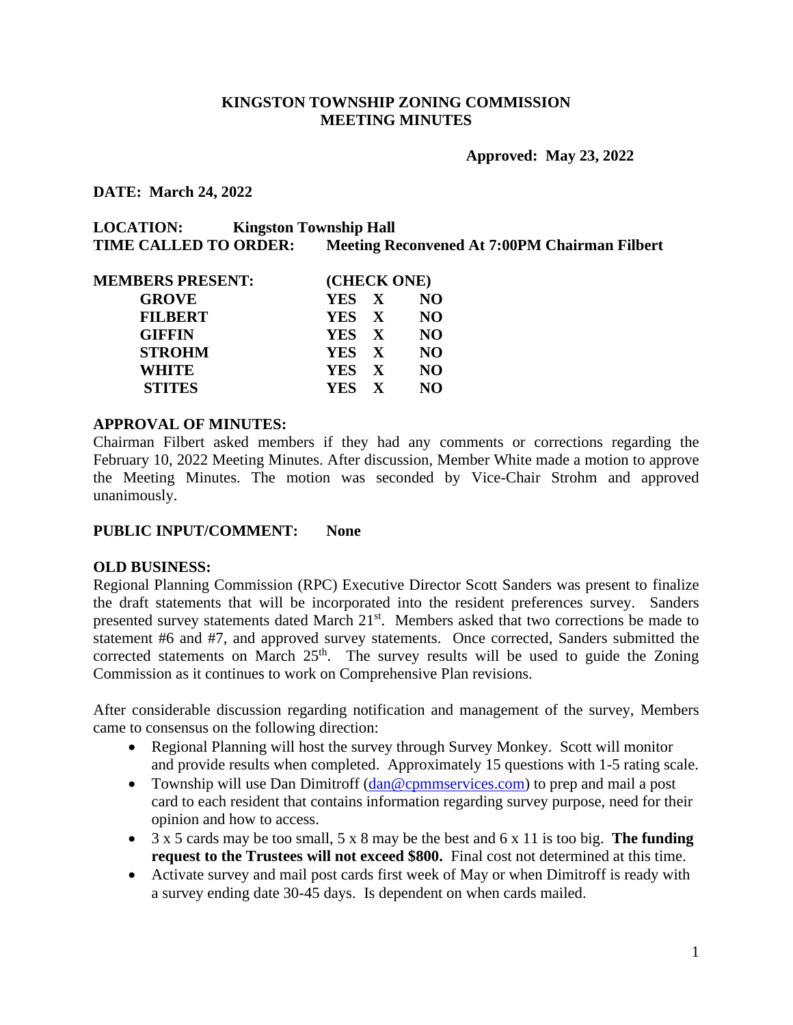#### **KINGSTON TOWNSHIP ZONING COMMISSION MEETING MINUTES**

**Approved: May 23, 2022**

**DATE: March 24, 2022** 

| <b>LOCATION:</b>             | <b>Kingston Township Hall</b>                        |
|------------------------------|------------------------------------------------------|
| <b>TIME CALLED TO ORDER:</b> | <b>Meeting Reconvened At 7:00PM Chairman Filbert</b> |

| (CHECK ONE) |           |
|-------------|-----------|
| YES X       | NO.       |
|             | <b>NO</b> |
| YES X       | <b>NO</b> |
| YES X       | <b>NO</b> |
| YES X       | <b>NO</b> |
| YES X       | NO.       |
|             | YES X     |

#### **APPROVAL OF MINUTES:**

Chairman Filbert asked members if they had any comments or corrections regarding the February 10, 2022 Meeting Minutes. After discussion, Member White made a motion to approve the Meeting Minutes. The motion was seconded by Vice-Chair Strohm and approved unanimously.

#### **PUBLIC INPUT/COMMENT: None**

#### **OLD BUSINESS:**

Regional Planning Commission (RPC) Executive Director Scott Sanders was present to finalize the draft statements that will be incorporated into the resident preferences survey. Sanders presented survey statements dated March 21<sup>st</sup>. Members asked that two corrections be made to statement #6 and #7, and approved survey statements. Once corrected, Sanders submitted the corrected statements on March  $25<sup>th</sup>$ . The survey results will be used to guide the Zoning Commission as it continues to work on Comprehensive Plan revisions.

After considerable discussion regarding notification and management of the survey, Members came to consensus on the following direction:

- Regional Planning will host the survey through Survey Monkey. Scott will monitor and provide results when completed. Approximately 15 questions with 1-5 rating scale.
- Township will use Dan Dimitroff [\(dan@cpmmservices.com\)](mailto:dan@cpmmservices.com) to prep and mail a post card to each resident that contains information regarding survey purpose, need for their opinion and how to access.
- 3 x 5 cards may be too small, 5 x 8 may be the best and 6 x 11 is too big. **The funding request to the Trustees will not exceed \$800.** Final cost not determined at this time.
- Activate survey and mail post cards first week of May or when Dimitroff is ready with a survey ending date 30-45 days. Is dependent on when cards mailed.